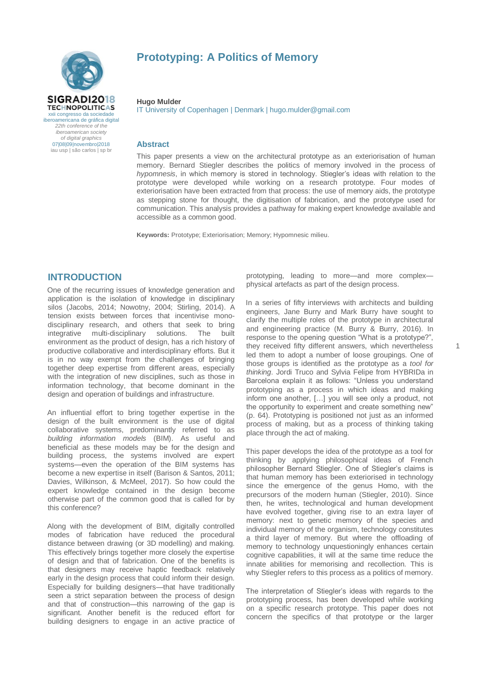

# **Prototyping: A Politics of Memory**

#### **Hugo Mulder**

IT University of Copenhagen | Denmark | hugo.mulder@gmail.com

### **Abstract**

This paper presents a view on the architectural prototype as an exteriorisation of human memory. Bernard Stiegler describes the politics of memory involved in the process of *hypomnesis*, in which memory is stored in technology. Stiegler's ideas with relation to the prototype were developed while working on a research prototype. Four modes of exteriorisation have been extracted from that process: the use of memory aids, the prototype as stepping stone for thought, the digitisation of fabrication, and the prototype used for communication. This analysis provides a pathway for making expert knowledge available and accessible as a common good.

**Keywords:** Prototype; Exteriorisation; Memory; Hypomnesic milieu.

## **INTRODUCTION**

One of the recurring issues of knowledge generation and application is the isolation of knowledge in disciplinary silos (Jacobs, 2014; Nowotny, 2004; Stirling, 2014). A tension exists between forces that incentivise monodisciplinary research, and others that seek to bring integrative multi-disciplinary solutions. The built environment as the product of design, has a rich history of productive collaborative and interdisciplinary efforts. But it is in no way exempt from the challenges of bringing together deep expertise from different areas, especially with the integration of new disciplines, such as those in information technology, that become dominant in the design and operation of buildings and infrastructure.

An influential effort to bring together expertise in the design of the built environment is the use of digital collaborative systems, predominantly referred to as *building information models* (BIM). As useful and beneficial as these models may be for the design and building process, the systems involved are expert systems—even the operation of the BIM systems has become a new expertise in itself (Barison & Santos, 2011; Davies, Wilkinson, & McMeel, 2017). So how could the expert knowledge contained in the design become otherwise part of the common good that is called for by this conference?

Along with the development of BIM, digitally controlled modes of fabrication have reduced the procedural distance between drawing (or 3D modelling) and making. This effectively brings together more closely the expertise of design and that of fabrication. One of the benefits is that designers may receive haptic feedback relatively early in the design process that could inform their design. Especially for building designers—that have traditionally seen a strict separation between the process of design and that of construction—this narrowing of the gap is significant. Another benefit is the reduced effort for building designers to engage in an active practice of prototyping, leading to more—and more complex physical artefacts as part of the design process.

In a series of fifty interviews with architects and building engineers, Jane Burry and Mark Burry have sought to clarify the multiple roles of the prototype in architectural and engineering practice (M. Burry & Burry, 2016). In response to the opening question "What is a prototype?", they received fifty different answers, which nevertheless led them to adopt a number of loose groupings. One of those groups is identified as the prototype as a *tool for thinking*. Jordi Truco and Sylvia Felipe from HYBRIDa in Barcelona explain it as follows: "Unless you understand prototyping as a process in which ideas and making inform one another, […] you will see only a product, not the opportunity to experiment and create something new" (p. 64). Prototyping is positioned not just as an informed process of making, but as a process of thinking taking place through the act of making.

This paper develops the idea of the prototype as a tool for thinking by applying philosophical ideas of French philosopher Bernard Stiegler. One of Stiegler's claims is that human memory has been exteriorised in technology since the emergence of the genus Homo, with the precursors of the modern human (Stiegler, 2010). Since then, he writes, technological and human development have evolved together, giving rise to an extra layer of memory: next to genetic memory of the species and individual memory of the organism, technology constitutes a third layer of memory. But where the offloading of memory to technology unquestioningly enhances certain cognitive capabilities, it will at the same time reduce the innate abilities for memorising and recollection. This is why Stiegler refers to this process as a politics of memory.

The interpretation of Stiegler's ideas with regards to the prototyping process, has been developed while working on a specific research prototype. This paper does not concern the specifics of that prototype or the larger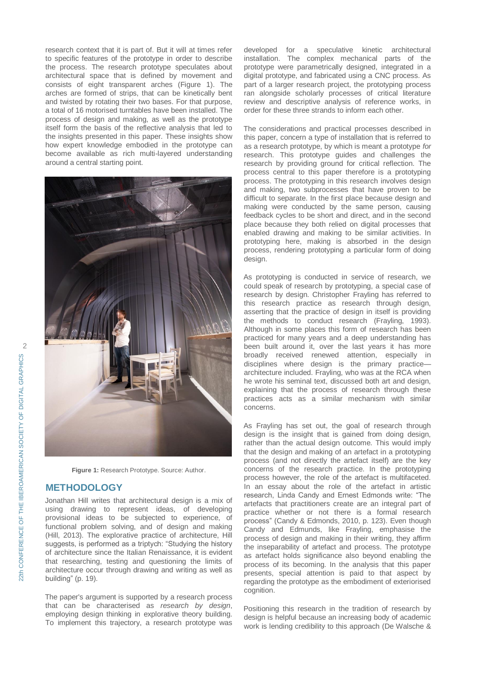research context that it is part of. But it will at times refer to specific features of the prototype in order to describe the process. The research prototype speculates about architectural space that is defined by movement and consists of eight transparent arches [\(Figure](#page-1-0) 1). The arches are formed of strips, that can be kinetically bent and twisted by rotating their two bases. For that purpose, a total of 16 motorised turntables have been installed. The process of design and making, as well as the prototype itself form the basis of the reflective analysis that led to the insights presented in this paper. These insights show how expert knowledge embodied in the prototype can become available as rich multi-layered understanding around a central starting point.



**Figure 1:** Research Prototype. Source: Author.

## <span id="page-1-0"></span>**METHODOLOGY**

Jonathan Hill writes that architectural design is a mix of using drawing to represent ideas, of developing provisional ideas to be subjected to experience, of functional problem solving, and of design and making (Hill, 2013). The explorative practice of architecture, Hill suggests, is performed as a triptych: "Studying the history of architecture since the Italian Renaissance, it is evident that researching, testing and questioning the limits of architecture occur through drawing and writing as well as building" (p. 19).

The paper's argument is supported by a research process that can be characterised as *research by design*, employing design thinking in explorative theory building. To implement this trajectory, a research prototype was

developed for a speculative kinetic architectural installation. The complex mechanical parts of the prototype were parametrically designed, integrated in a digital prototype, and fabricated using a CNC process. As part of a larger research project, the prototyping process ran alongside scholarly processes of critical literature review and descriptive analysis of reference works, in order for these three strands to inform each other.

The considerations and practical processes described in this paper, concern a type of installation that is referred to as a research prototype, by which is meant a prototype *for* research. This prototype guides and challenges the research by providing ground for critical reflection. The process central to this paper therefore is a prototyping process. The prototyping in this research involves design and making, two subprocesses that have proven to be difficult to separate. In the first place because design and making were conducted by the same person, causing feedback cycles to be short and direct, and in the second place because they both relied on digital processes that enabled drawing and making to be similar activities. In prototyping here, making is absorbed in the design process, rendering prototyping a particular form of doing design.

As prototyping is conducted in service of research, we could speak of research by prototyping, a special case of research by design. Christopher Frayling has referred to this research practice as research through design, asserting that the practice of design in itself is providing the methods to conduct research (Frayling, 1993). Although in some places this form of research has been practiced for many years and a deep understanding has been built around it, over the last years it has more broadly received renewed attention, especially in disciplines where design is the primary practice architecture included. Frayling, who was at the RCA when he wrote his seminal text, discussed both art and design, explaining that the process of research through these practices acts as a similar mechanism with similar concerns.

As Frayling has set out, the goal of research through design is the insight that is gained from doing design, rather than the actual design outcome. This would imply that the design and making of an artefact in a prototyping process (and not directly the artefact itself) are the key concerns of the research practice. In the prototyping process however, the role of the artefact is multifaceted. In an essay about the role of the artefact in artistic research, Linda Candy and Ernest Edmonds write: "The artefacts that practitioners create are an integral part of practice whether or not there is a formal research process" (Candy & Edmonds, 2010, p. 123). Even though Candy and Edmunds, like Frayling, emphasise the process of design and making in their writing, they affirm the inseparability of artefact and process. The prototype as artefact holds significance also beyond enabling the process of its becoming. In the analysis that this paper presents, special attention is paid to that aspect by regarding the prototype as the embodiment of exteriorised cognition.

Positioning this research in the tradition of research by design is helpful because an increasing body of academic work is lending credibility to this approach (De Walsche &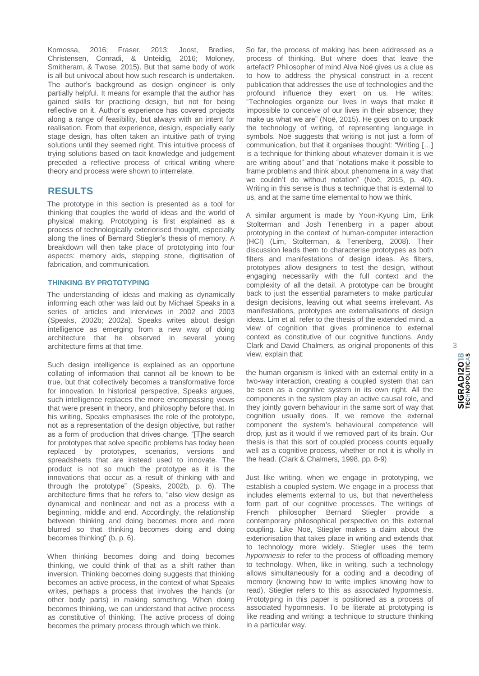Komossa, 2016; Fraser, 2013; Joost, Bredies, Christensen, Conradi, & Unteidig, 2016; Moloney, Smitheram, & Twose, 2015). But that same body of work is all but univocal about how such research is undertaken. The author's background as design engineer is only partially helpful. It means for example that the author has gained skills for practicing design, but not for being reflective on it. Author's experience has covered projects along a range of feasibility, but always with an intent for realisation. From that experience, design, especially early stage design, has often taken an intuitive path of trying solutions until they seemed right. This intuitive process of trying solutions based on tacit knowledge and judgement preceded a reflective process of critical writing where theory and process were shown to interrelate.

## **RESULTS**

The prototype in this section is presented as a tool for thinking that couples the world of ideas and the world of physical making. Prototyping is first explained as a process of technologically exteriorised thought, especially along the lines of Bernard Stiegler's thesis of memory. A breakdown will then take place of prototyping into four aspects: memory aids, stepping stone, digitisation of fabrication, and communication.

#### **THINKING BY PROTOTYPING**

The understanding of ideas and making as dynamically informing each other was laid out by Michael Speaks in a series of articles and interviews in 2002 and 2003 (Speaks, 2002b; 2002a). Speaks writes about design intelligence as emerging from a new way of doing architecture that he observed in several young architecture firms at that time.

Such design intelligence is explained as an opportune collating of information that cannot all be known to be true, but that collectively becomes a transformative force for innovation. In historical perspective, Speaks argues, such intelligence replaces the more encompassing views that were present in theory, and philosophy before that. In his writing, Speaks emphasises the role of the prototype, not as a representation of the design objective, but rather as a form of production that drives change. "[T]he search for prototypes that solve specific problems has today been replaced by prototypes, scenarios, versions and spreadsheets that are instead used to innovate. The product is not so much the prototype as it is the innovations that occur as a result of thinking with and through the prototype" (Speaks, 2002b, p. 6). The architecture firms that he refers to, "also view design as dynamical and nonlinear and not as a process with a beginning, middle and end. Accordingly, the relationship between thinking and doing becomes more and more blurred so that thinking becomes doing and doing becomes thinking" (b, p. 6).

When thinking becomes doing and doing becomes thinking, we could think of that as a shift rather than inversion. Thinking becomes doing suggests that thinking becomes an active process, in the context of what Speaks writes, perhaps a process that involves the hands (or other body parts) in making something. When doing becomes thinking, we can understand that active process as constitutive of thinking. The active process of doing becomes the primary process through which we think.

So far, the process of making has been addressed as a process of thinking. But where does that leave the artefact? Philosopher of mind Alva Noë gives us a clue as to how to address the physical construct in a recent publication that addresses the use of technologies and the profound influence they exert on us. He writes: "Technologies organize our lives in ways that make it impossible to conceive of our lives in their absence; they make us what we are" (Noë, 2015). He goes on to unpack the technology of writing, of representing language in symbols. Noë suggests that writing is not just a form of communication, but that it organises thought: "Writing […] is a technique for thinking about whatever domain it is we are writing about" and that "notations make it possible to frame problems and think about phenomena in a way that we couldn't do without notation" (Noë, 2015, p. 40). Writing in this sense is thus a technique that is external to us, and at the same time elemental to how we think.

A similar argument is made by Youn-Kyung Lim, Erik Stolterman and Josh Tenenberg in a paper about prototyping in the context of human-computer interaction (HCI) (Lim, Stolterman, & Tenenberg, 2008). Their discussion leads them to characterise prototypes as both filters and manifestations of design ideas. As filters, prototypes allow designers to test the design, without engaging necessarily with the full context and the complexity of all the detail. A prototype can be brought back to just the essential parameters to make particular design decisions, leaving out what seems irrelevant. As manifestations, prototypes are externalisations of design ideas. Lim et al. refer to the thesis of the extended mind, a view of cognition that gives prominence to external context as constitutive of our cognitive functions. Andy Clark and David Chalmers, as original proponents of this view, explain that:

the human organism is linked with an external entity in a two-way interaction, creating a coupled system that can be seen as a cognitive system in its own right. All the components in the system play an active causal role, and they jointly govern behaviour in the same sort of way that cognition usually does. If we remove the external component the system's behavioural competence will drop, just as it would if we removed part of its brain. Our thesis is that this sort of coupled process counts equally well as a cognitive process, whether or not it is wholly in the head. (Clark & Chalmers, 1998, pp. 8-9)

Just like writing, when we engage in prototyping, we establish a coupled system. We engage in a process that includes elements external to us, but that nevertheless form part of our cognitive processes. The writings of French philosopher Bernard Stiegler provide a contemporary philosophical perspective on this external coupling. Like Noë, Stiegler makes a claim about the exteriorisation that takes place in writing and extends that to technology more widely. Stiegler uses the term *hypomnesis* to refer to the process of offloading memory to technology. When, like in writing, such a technology allows simultaneously for a coding and a decoding of memory (knowing how to write implies knowing how to read), Stiegler refers to this as *associated* hypomnesis. Prototyping in this paper is positioned as a process of associated hypomnesis. To be literate at prototyping is like reading and writing: a technique to structure thinking in a particular way.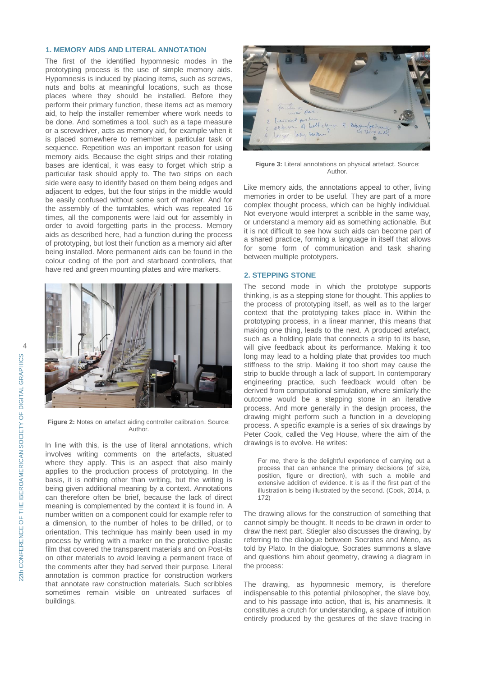## **1. MEMORY AIDS AND LITERAL ANNOTATION**

The first of the identified hypomnesic modes in the prototyping process is the use of simple memory aids. Hypomnesis is induced by placing items, such as screws, nuts and bolts at meaningful locations, such as those places where they should be installed. Before they perform their primary function, these items act as memory aid, to help the installer remember where work needs to be done. And sometimes a tool, such as a tape measure or a screwdriver, acts as memory aid, for example when it is placed somewhere to remember a particular task or sequence. Repetition was an important reason for using memory aids. Because the eight strips and their rotating bases are identical, it was easy to forget which strip a particular task should apply to. The two strips on each side were easy to identify based on them being edges and adjacent to edges, but the four strips in the middle would be easily confused without some sort of marker. And for the assembly of the turntables, which was repeated 16 times, all the components were laid out for assembly in order to avoid forgetting parts in the process. Memory aids as described here, had a function during the process of prototyping, but lost their function as a memory aid after being installed. More permanent aids can be found in the colour coding of the port and starboard controllers, that have red and green mounting plates and wire markers.



**Figure 2:** Notes on artefact aiding controller calibration. Source: Author.

In line with this, is the use of literal annotations, which involves writing comments on the artefacts, situated where they apply. This is an aspect that also mainly applies to the production process of prototyping. In the basis, it is nothing other than writing, but the writing is being given additional meaning by a context. Annotations can therefore often be brief, because the lack of direct meaning is complemented by the context it is found in. A number written on a component could for example refer to a dimension, to the number of holes to be drilled, or to orientation. This technique has mainly been used in my process by writing with a marker on the protective plastic film that covered the transparent materials and on Post-its on other materials to avoid leaving a permanent trace of the comments after they had served their purpose. Literal annotation is common practice for construction workers that annotate raw construction materials. Such scribbles sometimes remain visible on untreated surfaces of buildings.



**Figure 3:** Literal annotations on physical artefact. Source: Author.

Like memory aids, the annotations appeal to other, living memories in order to be useful. They are part of a more complex thought process, which can be highly individual. Not everyone would interpret a scribble in the same way, or understand a memory aid as something actionable. But it is not difficult to see how such aids can become part of a shared practice, forming a language in itself that allows for some form of communication and task sharing between multiple prototypers.

### **2. STEPPING STONE**

The second mode in which the prototype supports thinking, is as a stepping stone for thought. This applies to the process of prototyping itself, as well as to the larger context that the prototyping takes place in. Within the prototyping process, in a linear manner, this means that making one thing, leads to the next. A produced artefact, such as a holding plate that connects a strip to its base, will give feedback about its performance. Making it too long may lead to a holding plate that provides too much stiffness to the strip. Making it too short may cause the strip to buckle through a lack of support. In contemporary engineering practice, such feedback would often be derived from computational simulation, where similarly the outcome would be a stepping stone in an iterative process. And more generally in the design process, the drawing might perform such a function in a developing process. A specific example is a series of six drawings by Peter Cook, called the Veg House, where the aim of the drawings is to evolve. He writes:

For me, there is the delightful experience of carrying out a process that can enhance the primary decisions (of size, position, figure or direction), with such a mobile and extensive addition of evidence. It is as if the first part of the illustration is being illustrated by the second. (Cook, 2014, p. 172)

The drawing allows for the construction of something that cannot simply be thought. It needs to be drawn in order to draw the next part. Stiegler also discusses the drawing, by referring to the dialogue between Socrates and Meno, as told by Plato. In the dialogue, Socrates summons a slave and questions him about geometry, drawing a diagram in the process:

The drawing, as hypomnesic memory, is therefore indispensable to this potential philosopher, the slave boy, and to his passage into action, that is, his anamnesis. It constitutes a crutch for understanding, a space of intuition entirely produced by the gestures of the slave tracing in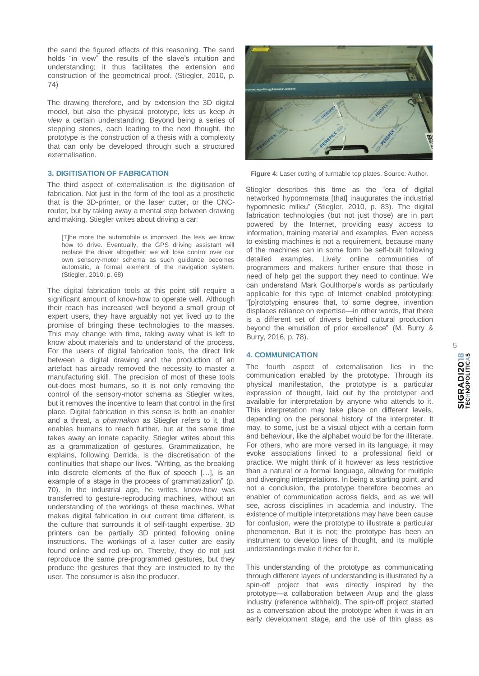the sand the figured effects of this reasoning. The sand holds "in view" the results of the slave's intuition and understanding; it thus facilitates the extension and construction of the geometrical proof. (Stiegler, 2010, p. 74)

The drawing therefore, and by extension the 3D digital model, but also the physical prototype, lets us keep *in view* a certain understanding. Beyond being a series of stepping stones, each leading to the next thought, the prototype is the construction of a thesis with a complexity that can only be developed through such a structured externalisation.

#### **3. DIGITISATION OF FABRICATION**

The third aspect of externalisation is the digitisation of fabrication. Not just in the form of the tool as a prosthetic that is the 3D-printer, or the laser cutter, or the CNCrouter, but by taking away a mental step between drawing and making. Stiegler writes about driving a car:

[T]he more the automobile is improved, the less we know how to drive. Eventually, the GPS driving assistant will replace the driver altogether; we will lose control over our own sensory-motor schema as such guidance becomes automatic, a formal element of the navigation system. (Stiegler, 2010, p. 68)

The digital fabrication tools at this point still require a significant amount of know-how to operate well. Although their reach has increased well beyond a small group of expert users, they have arguably not yet lived up to the promise of bringing these technologies to the masses. This may change with time, taking away what is left to know about materials and to understand of the process. For the users of digital fabrication tools, the direct link between a digital drawing and the production of an artefact has already removed the necessity to master a manufacturing skill. The precision of most of these tools out-does most humans, so it is not only removing the control of the sensory-motor schema as Stiegler writes, but it removes the incentive to learn that control in the first place. Digital fabrication in this sense is both an enabler and a threat, a *pharmakon* as Stiegler refers to it, that enables humans to reach further, but at the same time takes away an innate capacity. Stiegler writes about this as a grammatization of gestures. Grammatization, he explains, following Derrida, is the discretisation of the continuities that shape our lives. "Writing, as the breaking into discrete elements of the flux of speech […], is an example of a stage in the process of grammatization" (p. 70). In the industrial age, he writes, know-how was transferred to gesture-reproducing machines, without an understanding of the workings of these machines. What makes digital fabrication in our current time different, is the culture that surrounds it of self-taught expertise. 3D printers can be partially 3D printed following online instructions. The workings of a laser cutter are easily found online and red-up on. Thereby, they do not just reproduce the same pre-programmed gestures, but they produce the gestures that they are instructed to by the user. The consumer is also the producer.



**Figure 4:** Laser cutting of turntable top plates. Source: Author.

Stiegler describes this time as the "era of digital networked hypomnemata [that] inaugurates the industrial hypomnesic milieu" (Stiegler, 2010, p. 83). The digital fabrication technologies (but not just those) are in part powered by the Internet, providing easy access to information, training material and examples. Even access to existing machines is not a requirement, because many of the machines can in some form be self-built following detailed examples. Lively online communities of programmers and makers further ensure that those in need of help get the support they need to continue. We can understand Mark Goulthorpe's words as particularly applicable for this type of Internet enabled prototyping: "[p]rototyping ensures that, to some degree, invention displaces reliance on expertise—in other words, that there is a different set of drivers behind cultural production beyond the emulation of prior excellence" (M. Burry & Burry, 2016, p. 78).

#### **4. COMMUNICATION**

The fourth aspect of externalisation lies in the communication enabled by the prototype. Through its physical manifestation, the prototype is a particular expression of thought, laid out by the prototyper and available for interpretation by anyone who attends to it. This interpretation may take place on different levels, depending on the personal history of the interpreter. It may, to some, just be a visual object with a certain form and behaviour, like the alphabet would be for the illiterate. For others, who are more versed in its language, it may evoke associations linked to a professional field or practice. We might think of it however as less restrictive than a natural or a formal language, allowing for multiple and diverging interpretations. In being a starting point, and not a conclusion, the prototype therefore becomes an enabler of communication across fields, and as we will see, across disciplines in academia and industry. The existence of multiple interpretations may have been cause for confusion, were the prototype to illustrate a particular phenomenon. But it is not; the prototype has been an instrument to develop lines of thought, and its multiple understandings make it richer for it.

This understanding of the prototype as communicating through different layers of understanding is illustrated by a spin-off project that was directly inspired by the prototype—a collaboration between Arup and the glass industry (reference withheld). The spin-off project started as a conversation about the prototype when it was in an early development stage, and the use of thin glass as